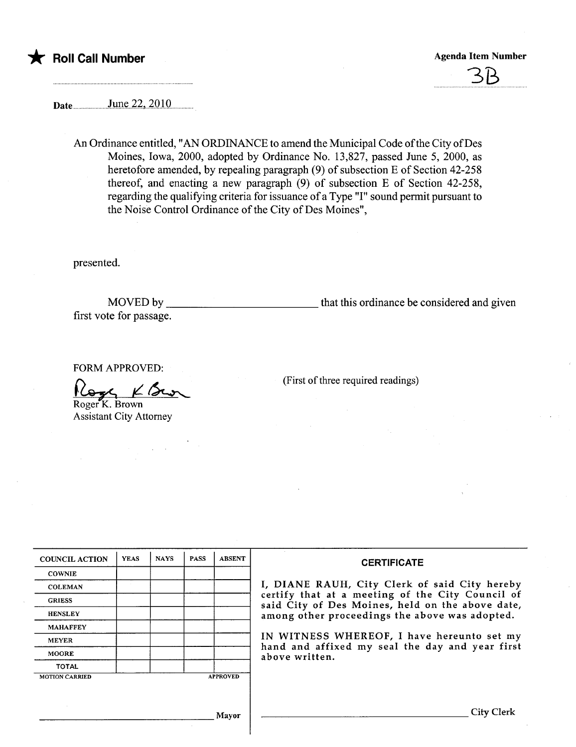

## \* Roll Call Number Agenda Item Number Agenda Item Number

3B

Date... .. .....J.lJll~.22.,.2QIQm

An Ordinance entitled, "AN ORDINANCE to amend the Municipal Code ofthe City of Des Moines, Iowa, 2000, adopted by Ordinance No. 13,827, passed June 5, 2000, as heretofore amended, by repealing paragraph (9) of subsection E of Section 42-258 thereof, and enacting a new paragraph (9) of subsection E of Section 42-258, regarding the qualifying criteria for issuance of a Type "I" sound permit pursuant to the Noise Control Ordinance of the City of Des Moines",

presented.

MOVED by that this ordinance be considered and given first vote for passage.

FORM APPROVED:

Roger K. Brown FORM APPROVED:<br>  $\bigcap_{\text{Reger K. Brown}} \mathcal{L} \mathcal{L} \longrightarrow$  (First of three required readings)

Assistant City Attorney

| <b>COUNCIL ACTION</b> | <b>YEAS</b> | <b>NAYS</b> | <b>PASS</b> | <b>ABSENT</b>   | <b>CERTIFICATE</b>                                                                                                                                                                                                                                                                                                         |
|-----------------------|-------------|-------------|-------------|-----------------|----------------------------------------------------------------------------------------------------------------------------------------------------------------------------------------------------------------------------------------------------------------------------------------------------------------------------|
| <b>COWNIE</b>         |             |             |             |                 |                                                                                                                                                                                                                                                                                                                            |
| <b>COLEMAN</b>        |             |             |             |                 | I, DIANE RAUH, City Clerk of said City hereby<br>certify that at a meeting of the City Council of<br>said City of Des Moines, held on the above date,<br>among other proceedings the above was adopted.<br>IN WITNESS WHEREOF, I have hereunto set my<br>hand and affixed my seal the day and year first<br>above written. |
| <b>GRIESS</b>         |             |             |             |                 |                                                                                                                                                                                                                                                                                                                            |
| <b>HENSLEY</b>        |             |             |             |                 |                                                                                                                                                                                                                                                                                                                            |
| <b>MAHAFFEY</b>       |             |             |             |                 |                                                                                                                                                                                                                                                                                                                            |
| <b>MEYER</b>          |             |             |             |                 |                                                                                                                                                                                                                                                                                                                            |
| <b>MOORE</b>          |             |             |             |                 |                                                                                                                                                                                                                                                                                                                            |
| <b>TOTAL</b>          |             |             |             |                 |                                                                                                                                                                                                                                                                                                                            |
| <b>MOTION CARRIED</b> |             |             |             | <b>APPROVED</b> |                                                                                                                                                                                                                                                                                                                            |
|                       |             |             |             |                 |                                                                                                                                                                                                                                                                                                                            |
| Mayor                 |             |             |             |                 | City Clerk                                                                                                                                                                                                                                                                                                                 |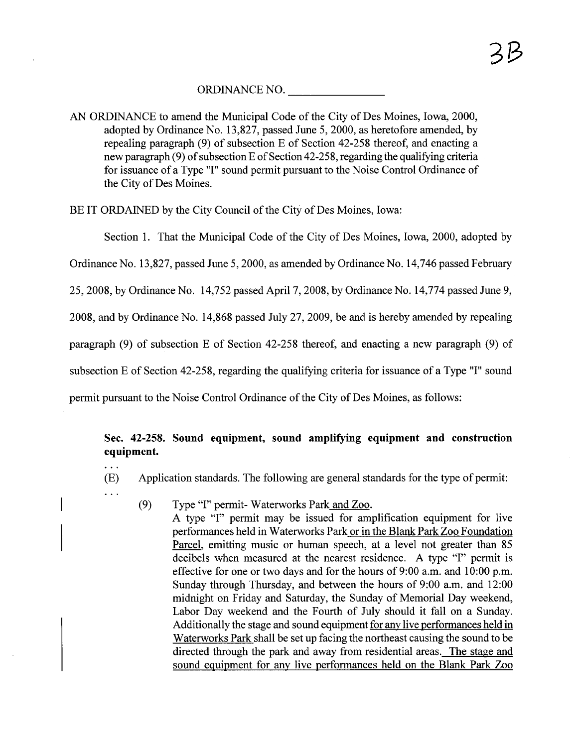## ORDINANCE NO.

AN ORDINANCE to amend the Municipal Code of the City of Des Moines, Iowa, 2000, adopted by Ordinance No. 13,827, passed June 5, 2000, as heretofore amended, by repealing paragraph (9) of subsection E of Section 42-258 thereof, and enacting a new paragraph (9) of subsection E of Section 42-258, regarding the qualifying criteria for issuance of a Type "I" sound permit pursuant to the Noise Control Ordinance of the City of Des Moines.

BE IT ORDAINED by the City Council of the City of Des Moines, Iowa:

Section 1. That the Municipal Code of the City of Des Moines, Iowa, 2000, adopted by

Ordinance No. 13,827, passed June 5, 2000, as amended by Ordinance No. 14,746 passed February

25,2008, by Ordinance No. 14,752 passed April 7, 2008, by Ordinance No. l4,774 passed June 9,

2008, and by Ordinance No. 14,868 passed July 27,2009, be and is hereby amended by repealing

paragraph (9) of subsection E of Section 42-258 thereof, and enacting a new paragraph (9) of

subsection E of Section 42-258, regarding the qualifying criteria for issuance of a Type "I" sound

permit pursuant to the Noise Control Ordinance of the City of Des Moines, as follows:

## Sec. 42-258. Sound equipment, sound amplifying equipment and construction equipment.

- (E) Application standards. The following are general standards for the type of permit:
- . . .

 $\ddotsc$ 

(9) Type "I" permit- Waterworks Park and Zoo.

A type "I" permit may be issued for amplification equipment for live performances held in Waterworks Park or in the Blank Park Zoo Foundation Parcel, emitting music or human speech, at a level not greater than 85 decibels when measured at the nearest residence. A type "I" permit is effective for one or two days and for the hours of 9:00 a.m. and 10:00 p.m. Sunday through Thursday, and between the hours of 9:00 a.m. and 12:00 midnight on Friday and Saturday, the Sunday of Memorial Day weekend, Labor Day weekend and the Fourth of July should it fall on a Sunday. Additionally the stage and sound equipment for any live performances held in Waterworks Park shall be set up facing the northeast causing the sound to be directed through the park and away from residential areas. The stage and sound equipment for any live performances held on the Blank Park Zoo